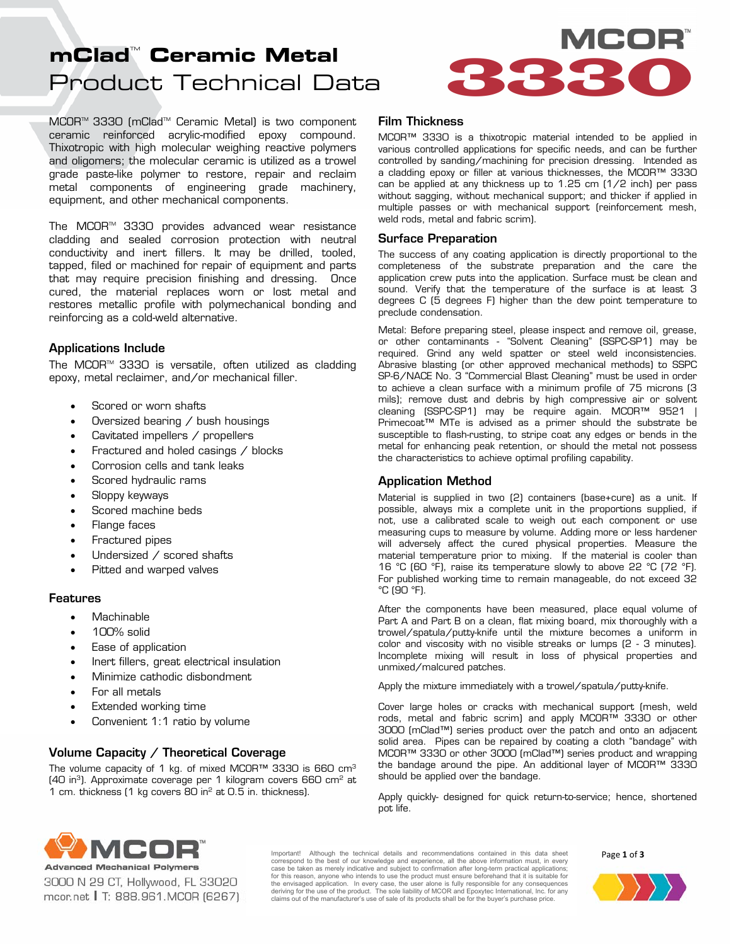# Product Technical Data **mClad<sup>"</sup> Ceramic Metal**<br>Product Technical Data

MCOR<sup>™</sup> 3330 (mClad<sup>™</sup> Ceramic Metal) is two component ceramic reinforced acrylic-modified epoxy compound. Thixotropic with high molecular weighing reactive polymers and oligomers; the molecular ceramic is utilized as a trowel grade paste-like polymer to restore, repair and reclaim metal components of engineering grade machinery, equipment, and other mechanical components.

The MCORTM 3330 provides advanced wear resistance cladding and sealed corrosion protection with neutral conductivity and inert fillers. It may be drilled, tooled, tapped, filed or machined for repair of equipment and parts that may require precision finishing and dressing. Once cured, the material replaces worn or lost metal and restores metallic profile with polymechanical bonding and reinforcing as a cold-weld alternative.

# Applications Include

The MCOR<sup> $M$ </sup> 3330 is versatile, often utilized as cladding epoxy, metal reclaimer, and/or mechanical filler.

- Scored or worn shafts
- Oversized bearing / bush housings
- Cavitated impellers / propellers
- Fractured and holed casings / blocks
- Corrosion cells and tank leaks
- Scored hydraulic rams
- Sloppy keyways
- Scored machine beds
- Flange faces
- Fractured pipes
- Undersized / scored shafts
- Pitted and warped valves

# Features

- Machinable
- 100% solid
- Ease of application
- Inert fillers, great electrical insulation
- Minimize cathodic disbondment
- For all metals
- Extended working time
- Convenient 1:1 ratio by volume

# Volume Capacity / Theoretical Coverage

The volume capacity of 1 kg. of mixed MCOR<sup>™</sup> 3330 is 660 cm<sup>3</sup> (40 in3). Approximate coverage per 1 kilogram covers 660 cm2 at 1 cm. thickness (1 kg covers 80 in2 at 0.5 in. thickness).

# Film Thickness

MCOR™ 3330 is a thixotropic material intended to be applied in various controlled applications for specific needs, and can be further controlled by sanding/machining for precision dressing. Intended as a cladding epoxy or filler at various thicknesses, the MCOR™ 3330 can be applied at any thickness up to 1.25 cm (1/2 inch) per pass without sagging, without mechanical support; and thicker if applied in multiple passes or with mechanical support (reinforcement mesh, weld rods, metal and fabric scrim).

## Surface Preparation

The success of any coating application is directly proportional to the completeness of the substrate preparation and the care the application crew puts into the application. Surface must be clean and sound. Verify that the temperature of the surface is at least 3 degrees C (5 degrees F) higher than the dew point temperature to preclude condensation.

Metal: Before preparing steel, please inspect and remove oil, grease, or other contaminants - "Solvent Cleaning" (SSPC-SP1) may be required. Grind any weld spatter or steel weld inconsistencies. Abrasive blasting (or other approved mechanical methods) to SSPC SP-6/NACE No. 3 "Commercial Blast Cleaning" must be used in order to achieve a clean surface with a minimum profile of 75 microns (3 mils); remove dust and debris by high compressive air or solvent cleaning (SSPC-SP1) may be require again. MCOR™ 9521 | Primecoat™ MTe is advised as a primer should the substrate be susceptible to flash-rusting, to stripe coat any edges or bends in the metal for enhancing peak retention, or should the metal not possess the characteristics to achieve optimal profiling capability.

# Application Method

Material is supplied in two (2) containers (base+cure) as a unit. If possible, always mix a complete unit in the proportions supplied, if not, use a calibrated scale to weigh out each component or use measuring cups to measure by volume. Adding more or less hardener will adversely affect the cured physical properties. Measure the material temperature prior to mixing. If the material is cooler than 16 °C (60 °F), raise its temperature slowly to above 22 °C (72 °F). For published working time to remain manageable, do not exceed 32 °C (90 °F).

After the components have been measured, place equal volume of Part A and Part B on a clean, flat mixing board, mix thoroughly with a trowel/spatula/putty-knife until the mixture becomes a uniform in color and viscosity with no visible streaks or lumps (2 - 3 minutes). Incomplete mixing will result in loss of physical properties and unmixed/malcured patches.

Apply the mixture immediately with a trowel/spatula/putty-knife.

Cover large holes or cracks with mechanical support (mesh, weld rods, metal and fabric scrim) and apply MCOR™ 3330 or other 3000 (mClad™) series product over the patch and onto an adjacent solid area. Pipes can be repaired by coating a cloth "bandage" with MCOR™ 3330 or other 3000 (mClad™) series product and wrapping the bandage around the pipe. An additional layer of MCOR™ 3330 should be applied over the bandage.

Apply quickly- designed for quick return-to-service; hence, shortened pot life.



3000 N 29 CT, Hollywood, FL 33020 mcor.net | T: 888.961.MCOR (6267)

Important! Although the technical details and recommendations contained in this data sheet correspond to the best of our knowledge and experience, all the above information must, in every<br>case be taken as merely indicative and subject to confirmation after long-term practical applications;<br>for this reason, anyon the envisaged application. In every case, the user alone is fully responsible for any consequences<br>deriving for the use of the product. The sole liability of MCOR and Epoxytec International, Inc. for any claims out of the manufacturer's use of sale of its products shall be for the buyer's purchase price.

Page **1** of **3**

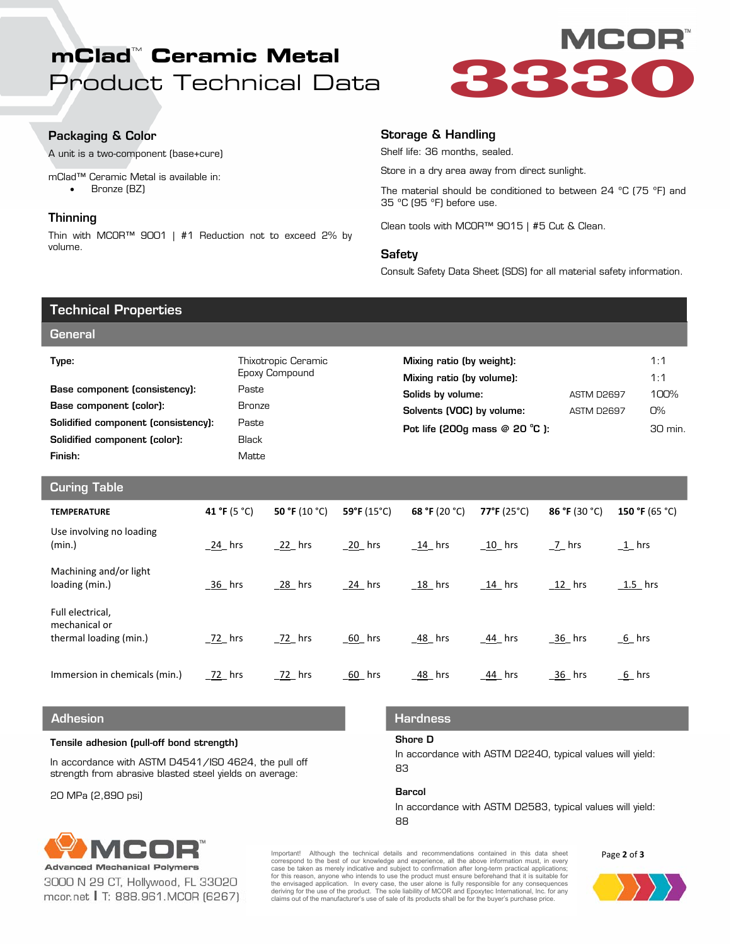# Product Technical Data **mClad<sup>"</sup> Ceramic Metal<br>Product Technical Data**<br>**Product Technical Data**<br> **Construct Technical Data**



# Packaging & Color

A unit is a two-component (base+cure)

mClad™ Ceramic Metal is available in: • Bronze (BZ)

# **Thinning**

Thin with MCOR™ 9001 | #1 Reduction not to exceed 2% by volume.

# Storage & Handling

Shelf life: 36 months, sealed.

Store in a dry area away from direct sunlight.

The material should be conditioned to between 24 ºC (75 ºF) and 35 ºC (95 ºF) before use.

Clean tools with MCOR™ 9015 | #5 Cut & Clean.

## **Safety**

Consult Safety Data Sheet (SDS) for all material safety information.

| <b>Technical Properties</b>                                 |              |                                       |               |                                |                                                        |             |               |            |                |
|-------------------------------------------------------------|--------------|---------------------------------------|---------------|--------------------------------|--------------------------------------------------------|-------------|---------------|------------|----------------|
| <b>General</b>                                              |              |                                       |               |                                |                                                        |             |               |            |                |
| Type:                                                       |              | Thixotropic Ceramic<br>Epoxy Compound |               |                                | Mixing ratio (by weight):<br>Mixing ratio (by volume): |             |               | 1:1<br>1:1 |                |
| Base component (consistency):                               |              | Paste                                 |               |                                | Solids by volume:                                      |             | ASTM D2697    |            | 100%           |
| Base component (color):                                     |              | <b>Bronze</b>                         |               |                                | Solvents (VOC) by volume:                              |             | ASTM D2697    |            | <b>O%</b>      |
| Solidified component (consistency):                         |              | Paste                                 |               |                                | Pot life (200g mass @ 20 °C):                          |             |               |            | 30 min.        |
| Solidified component (color):                               |              | <b>Black</b>                          |               |                                |                                                        |             |               |            |                |
| Finish:                                                     | Matte        |                                       |               |                                |                                                        |             |               |            |                |
| <b>Curing Table</b>                                         |              |                                       |               |                                |                                                        |             |               |            |                |
| <b>TEMPERATURE</b>                                          | 41 °F (5 °C) |                                       | 50 °F (10 °C) | 59°F (15°C)                    | 68 °F (20 °C)                                          | 77°F (25°C) | 86 °F (30 °C) |            | 150 °F (65 °C) |
| Use involving no loading<br>(min.)                          | $24$ hrs     |                                       | 22 hrs        | $20$ hrs                       | $14$ hrs                                               | $10$ hrs    | $7$ hrs       | $1$ hrs    |                |
| Machining and/or light<br>loading (min.)                    | 36 hrs       |                                       | 28 hrs        | 24 hrs<br>$18$ hrs<br>$14$ hrs |                                                        | $12$ hrs    | $1.5$ hrs     |            |                |
| Full electrical,<br>mechanical or<br>thermal loading (min.) | $22$ hrs     |                                       | 72 hrs        | 60 hrs                         | 48 hrs                                                 | 44 hrs      | 36 hrs        | 6 hrs      |                |
| Immersion in chemicals (min.)                               | 72 hrs       |                                       | $72$ hrs      | $60$ hrs                       | $-48$ hrs                                              | $44$ hrs    | 36 hrs        | $6$ hrs    |                |
| <b>Adhesion</b>                                             |              |                                       |               |                                | <b>Hardness</b>                                        |             |               |            |                |

## Adhesion

### Tensile adhesion (pull-off bond strength)

In accordance with ASTM D4541/ISO 4624, the pull off strength from abrasive blasted steel yields on average:

20 MPa (2,890 psi)

## Hardness

## Shore D

In accordance with ASTM D2240, typical values will yield: 83

#### Barcol

In accordance with ASTM D2583, typical values will yield: 88



3000 N 29 CT, Hollywood, FL 33020 mcor.net | T: 888.961.MCOR (6267)

Important! Although the technical details and recommendations contained in this data sheet correspond to the best of our knowledge and experience, all the above information must, in every<br>case be taken as merely indicative and subject to confirmation after long-term practical applications;<br>for this reason, anyon the envisaged application. In every case, the user alone is fully responsible for any consequences<br>deriving for the use of the product. The sole liability of MCOR and Epoxytec International, Inc. for any claims out of the manufacturer's use of sale of its products shall be for the buyer's purchase price.



Page **2** of **3**